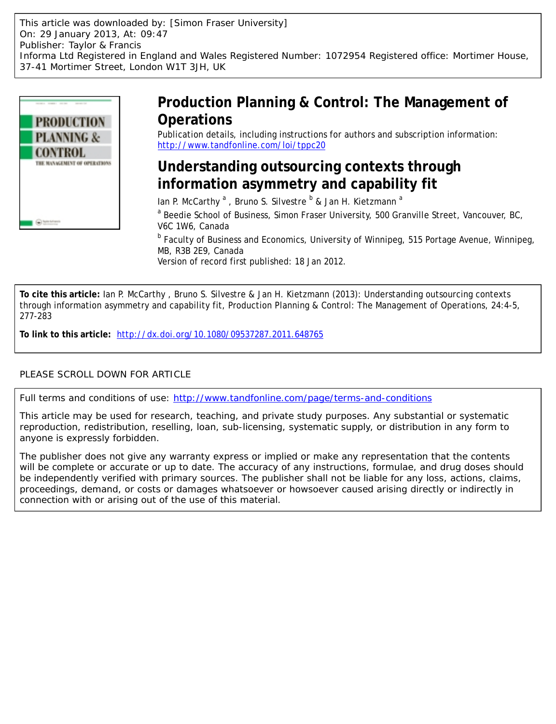

## **Production Planning & Control: The Management of Operations**

Publication details, including instructions for authors and subscription information: <http://www.tandfonline.com/loi/tppc20>

# **Understanding outsourcing contexts through information asymmetry and capability fit**

lan P. McCarthy <sup>a</sup>, Bruno S. Silvestre <sup>b</sup> & Jan H. Kietzmann <sup>a</sup>

<sup>a</sup> Beedie School of Business, Simon Fraser University, 500 Granville Street, Vancouver, BC, V6C 1W6, Canada

**b** Faculty of Business and Economics, University of Winnipeg, 515 Portage Avenue, Winnipeg, MB, R3B 2E9, Canada

Version of record first published: 18 Jan 2012.

**To cite this article:** Ian P. McCarthy , Bruno S. Silvestre & Jan H. Kietzmann (2013): Understanding outsourcing contexts through information asymmetry and capability fit, Production Planning & Control: The Management of Operations, 24:4-5, 277-283

**To link to this article:** <http://dx.doi.org/10.1080/09537287.2011.648765>

### PLEASE SCROLL DOWN FOR ARTICLE

Full terms and conditions of use:<http://www.tandfonline.com/page/terms-and-conditions>

This article may be used for research, teaching, and private study purposes. Any substantial or systematic reproduction, redistribution, reselling, loan, sub-licensing, systematic supply, or distribution in any form to anyone is expressly forbidden.

The publisher does not give any warranty express or implied or make any representation that the contents will be complete or accurate or up to date. The accuracy of any instructions, formulae, and drug doses should be independently verified with primary sources. The publisher shall not be liable for any loss, actions, claims, proceedings, demand, or costs or damages whatsoever or howsoever caused arising directly or indirectly in connection with or arising out of the use of this material.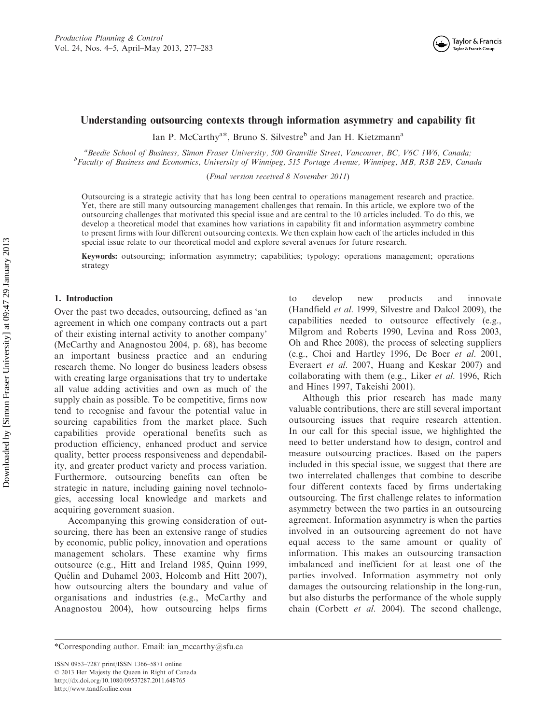

#### Understanding outsourcing contexts through information asymmetry and capability fit

Ian P. McCarthy<sup>a\*</sup>, Bruno S. Silvestre<sup>b</sup> and Jan H. Kietzmann<sup>a</sup>

<sup>a</sup>Beedie School of Business, Simon Fraser University, 500 Granville Street, Vancouver, BC, V6C 1W6, Canada; bEesculty of Business and Economies, University of Winnipeg, 515 Portage Ayenya, Winnipeg, MB, B3B, 2E0, Canada; Faculty of Business and Economics, University of Winnipeg, 515 Portage Avenue, Winnipeg, MB, R3B 2E9, Canada

(Final version received 8 November 2011)

Outsourcing is a strategic activity that has long been central to operations management research and practice. Yet, there are still many outsourcing management challenges that remain. In this article, we explore two of the outsourcing challenges that motivated this special issue and are central to the 10 articles included. To do this, we develop a theoretical model that examines how variations in capability fit and information asymmetry combine to present firms with four different outsourcing contexts. We then explain how each of the articles included in this special issue relate to our theoretical model and explore several avenues for future research.

Keywords: outsourcing; information asymmetry; capabilities; typology; operations management; operations strategy

#### 1. Introduction

Over the past two decades, outsourcing, defined as 'an agreement in which one company contracts out a part of their existing internal activity to another company' (McCarthy and Anagnostou 2004, p. 68), has become an important business practice and an enduring research theme. No longer do business leaders obsess with creating large organisations that try to undertake all value adding activities and own as much of the supply chain as possible. To be competitive, firms now tend to recognise and favour the potential value in sourcing capabilities from the market place. Such capabilities provide operational benefits such as production efficiency, enhanced product and service quality, better process responsiveness and dependability, and greater product variety and process variation. Furthermore, outsourcing benefits can often be strategic in nature, including gaining novel technologies, accessing local knowledge and markets and acquiring government suasion.

Accompanying this growing consideration of outsourcing, there has been an extensive range of studies by economic, public policy, innovation and operations management scholars. These examine why firms outsource (e.g., Hitt and Ireland 1985, Quinn 1999, Quélin and Duhamel 2003, Holcomb and Hitt 2007), how outsourcing alters the boundary and value of organisations and industries (e.g., McCarthy and Anagnostou 2004), how outsourcing helps firms

to develop new products and innovate (Handfield et al. 1999, Silvestre and Dalcol 2009), the capabilities needed to outsource effectively (e.g., Milgrom and Roberts 1990, Levina and Ross 2003, Oh and Rhee 2008), the process of selecting suppliers (e.g., Choi and Hartley 1996, De Boer et al. 2001, Everaert et al. 2007, Huang and Keskar 2007) and collaborating with them (e.g., Liker et al. 1996, Rich and Hines 1997, Takeishi 2001).

Although this prior research has made many valuable contributions, there are still several important outsourcing issues that require research attention. In our call for this special issue, we highlighted the need to better understand how to design, control and measure outsourcing practices. Based on the papers included in this special issue, we suggest that there are two interrelated challenges that combine to describe four different contexts faced by firms undertaking outsourcing. The first challenge relates to information asymmetry between the two parties in an outsourcing agreement. Information asymmetry is when the parties involved in an outsourcing agreement do not have equal access to the same amount or quality of information. This makes an outsourcing transaction imbalanced and inefficient for at least one of the parties involved. Information asymmetry not only damages the outsourcing relationship in the long-run, but also disturbs the performance of the whole supply chain (Corbett et al. 2004). The second challenge,

ISSN 0953–7287 print/ISSN 1366–5871 online  $©$  2013 Her Majesty the Queen in Right of Canada http://dx.doi.org/10.1080/09537287.2011.648765 http://www.tandfonline.com

<sup>\*</sup>Corresponding author. Email: ian\_mccarthy@sfu.ca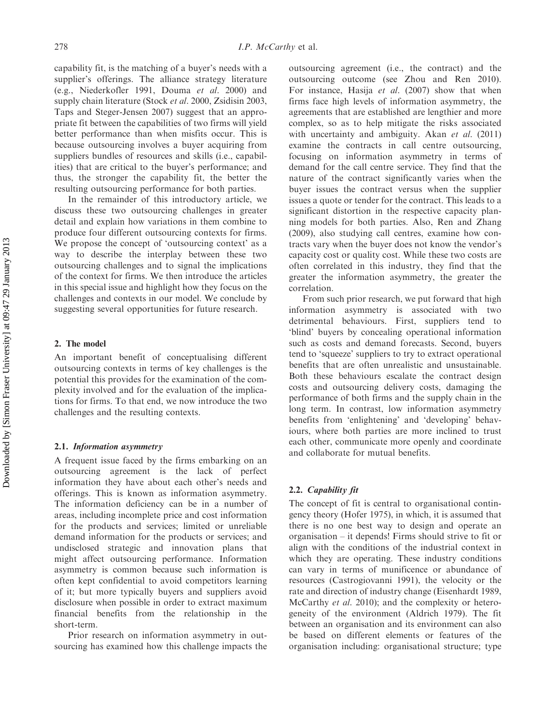capability fit, is the matching of a buyer's needs with a supplier's offerings. The alliance strategy literature (e.g., Niederkofler 1991, Douma et al. 2000) and supply chain literature (Stock et al. 2000, Zsidisin 2003, Taps and Steger-Jensen 2007) suggest that an appropriate fit between the capabilities of two firms will yield better performance than when misfits occur. This is because outsourcing involves a buyer acquiring from suppliers bundles of resources and skills (i.e., capabilities) that are critical to the buyer's performance; and thus, the stronger the capability fit, the better the resulting outsourcing performance for both parties.

In the remainder of this introductory article, we discuss these two outsourcing challenges in greater detail and explain how variations in them combine to produce four different outsourcing contexts for firms. We propose the concept of 'outsourcing context' as a way to describe the interplay between these two outsourcing challenges and to signal the implications of the context for firms. We then introduce the articles in this special issue and highlight how they focus on the challenges and contexts in our model. We conclude by suggesting several opportunities for future research.

#### 2. The model

An important benefit of conceptualising different outsourcing contexts in terms of key challenges is the potential this provides for the examination of the complexity involved and for the evaluation of the implications for firms. To that end, we now introduce the two challenges and the resulting contexts.

#### 2.1. Information asymmetry

A frequent issue faced by the firms embarking on an outsourcing agreement is the lack of perfect information they have about each other's needs and offerings. This is known as information asymmetry. The information deficiency can be in a number of areas, including incomplete price and cost information for the products and services; limited or unreliable demand information for the products or services; and undisclosed strategic and innovation plans that might affect outsourcing performance. Information asymmetry is common because such information is often kept confidential to avoid competitors learning of it; but more typically buyers and suppliers avoid disclosure when possible in order to extract maximum financial benefits from the relationship in the short-term.

Prior research on information asymmetry in outsourcing has examined how this challenge impacts the

outsourcing agreement (i.e., the contract) and the outsourcing outcome (see Zhou and Ren 2010). For instance, Hasija et al. (2007) show that when firms face high levels of information asymmetry, the agreements that are established are lengthier and more complex, so as to help mitigate the risks associated with uncertainty and ambiguity. Akan *et al.* (2011) examine the contracts in call centre outsourcing, focusing on information asymmetry in terms of demand for the call centre service. They find that the nature of the contract significantly varies when the buyer issues the contract versus when the supplier issues a quote or tender for the contract. This leads to a significant distortion in the respective capacity planning models for both parties. Also, Ren and Zhang (2009), also studying call centres, examine how contracts vary when the buyer does not know the vendor's capacity cost or quality cost. While these two costs are often correlated in this industry, they find that the greater the information asymmetry, the greater the correlation.

From such prior research, we put forward that high information asymmetry is associated with two detrimental behaviours. First, suppliers tend to 'blind' buyers by concealing operational information such as costs and demand forecasts. Second, buyers tend to 'squeeze' suppliers to try to extract operational benefits that are often unrealistic and unsustainable. Both these behaviours escalate the contract design costs and outsourcing delivery costs, damaging the performance of both firms and the supply chain in the long term. In contrast, low information asymmetry benefits from 'enlightening' and 'developing' behaviours, where both parties are more inclined to trust each other, communicate more openly and coordinate and collaborate for mutual benefits.

#### 2.2. Capability fit

The concept of fit is central to organisational contingency theory (Hofer 1975), in which, it is assumed that there is no one best way to design and operate an organisation – it depends! Firms should strive to fit or align with the conditions of the industrial context in which they are operating. These industry conditions can vary in terms of munificence or abundance of resources (Castrogiovanni 1991), the velocity or the rate and direction of industry change (Eisenhardt 1989, McCarthy *et al.* 2010); and the complexity or heterogeneity of the environment (Aldrich 1979). The fit between an organisation and its environment can also be based on different elements or features of the organisation including: organisational structure; type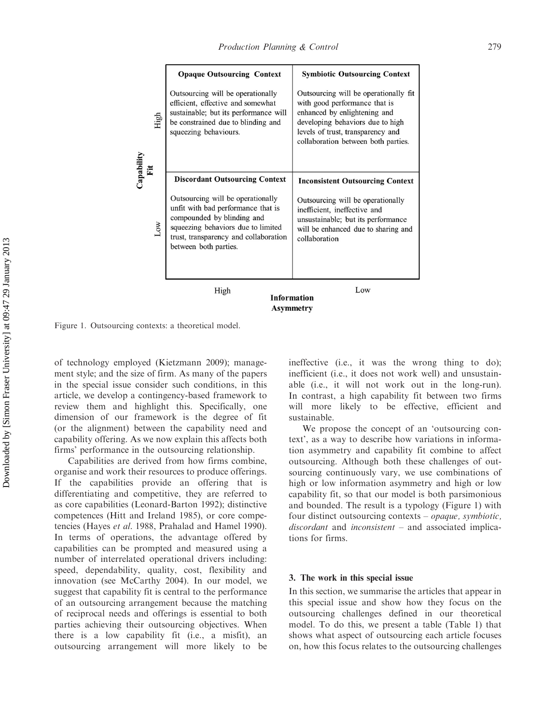|                   |      | <b>Opaque Outsourcing Context</b>                                                                                                                                                                             | <b>Symbiotic Outsourcing Context</b>                                                                                                                                                                                    |
|-------------------|------|---------------------------------------------------------------------------------------------------------------------------------------------------------------------------------------------------------------|-------------------------------------------------------------------------------------------------------------------------------------------------------------------------------------------------------------------------|
| Capability<br>Fit | High | Outsourcing will be operationally<br>efficient, effective and somewhat<br>sustainable; but its performance will<br>be constrained due to blinding and<br>squeezing behaviours.                                | Outsourcing will be operationally fit.<br>with good performance that is<br>enhanced by enlightening and<br>developing behaviors due to high<br>levels of trust, transparency and<br>collaboration between both parties. |
|                   |      | <b>Discordant Outsourcing Context</b>                                                                                                                                                                         | <b>Inconsistent Outsourcing Context</b>                                                                                                                                                                                 |
|                   | Low  | Outsourcing will be operationally<br>unfit with bad performance that is<br>compounded by blinding and<br>squeezing behaviors due to limited<br>trust, transparency and collaboration<br>between both parties. | Outsourcing will be operationally<br>inefficient, ineffective and<br>unsustainable; but its performance<br>will be enhanced due to sharing and<br>collaboration                                                         |
|                   |      | High<br><b>Information</b>                                                                                                                                                                                    | Low                                                                                                                                                                                                                     |
|                   |      | Asymmetry                                                                                                                                                                                                     |                                                                                                                                                                                                                         |

Figure 1. Outsourcing contexts: a theoretical model.

of technology employed (Kietzmann 2009); management style; and the size of firm. As many of the papers in the special issue consider such conditions, in this article, we develop a contingency-based framework to review them and highlight this. Specifically, one dimension of our framework is the degree of fit (or the alignment) between the capability need and capability offering. As we now explain this affects both firms' performance in the outsourcing relationship.

Capabilities are derived from how firms combine, organise and work their resources to produce offerings. If the capabilities provide an offering that is differentiating and competitive, they are referred to as core capabilities (Leonard-Barton 1992); distinctive competences (Hitt and Ireland 1985), or core competencies (Hayes et al. 1988, Prahalad and Hamel 1990). In terms of operations, the advantage offered by capabilities can be prompted and measured using a number of interrelated operational drivers including: speed, dependability, quality, cost, flexibility and innovation (see McCarthy 2004). In our model, we suggest that capability fit is central to the performance of an outsourcing arrangement because the matching of reciprocal needs and offerings is essential to both parties achieving their outsourcing objectives. When there is a low capability fit (i.e., a misfit), an outsourcing arrangement will more likely to be ineffective (i.e., it was the wrong thing to do); inefficient (i.e., it does not work well) and unsustainable (i.e., it will not work out in the long-run). In contrast, a high capability fit between two firms will more likely to be effective, efficient and sustainable.

We propose the concept of an 'outsourcing context', as a way to describe how variations in information asymmetry and capability fit combine to affect outsourcing. Although both these challenges of outsourcing continuously vary, we use combinations of high or low information asymmetry and high or low capability fit, so that our model is both parsimonious and bounded. The result is a typology (Figure 1) with four distinct outsourcing contexts – *opaque*, *symbiotic*, discordant and inconsistent – and associated implications for firms.

#### 3. The work in this special issue

In this section, we summarise the articles that appear in this special issue and show how they focus on the outsourcing challenges defined in our theoretical model. To do this, we present a table (Table 1) that shows what aspect of outsourcing each article focuses on, how this focus relates to the outsourcing challenges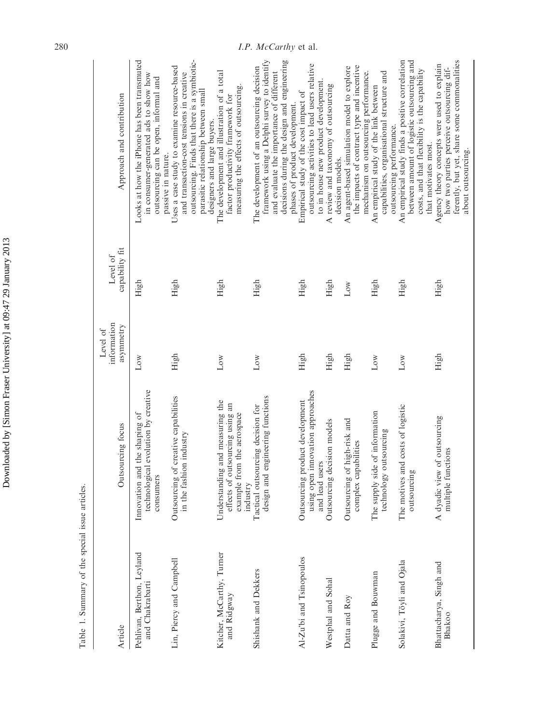| ١                          |
|----------------------------|
| $\sim$<br>י<br>י           |
| ١<br>l<br>֕<br>Į           |
| <b>THOMAS CONTROL</b><br>I |
| ֧ׅ֜֜֝                      |
|                            |
| ļ                          |

Table 1. Summary of the special issue articles. Table 1. Summary of the special issue articles.

| Article                                       | Outsourcing focus                                                                                            | information<br>asymmetry<br>Level of | capability fit<br>Level of | Approach and contribution                                                                                                                                                                                              |
|-----------------------------------------------|--------------------------------------------------------------------------------------------------------------|--------------------------------------|----------------------------|------------------------------------------------------------------------------------------------------------------------------------------------------------------------------------------------------------------------|
| Pehlivan, Berthon, Leyland<br>and Chakrabarti | evolution by creative<br>the shaping of<br>technological<br>Innovation and<br>consumers                      | Low                                  | High                       | Looks at how the iPhone has been transmuted<br>in consumer-generated ads to show how<br>outsourcing can be open, informal and<br>passive in nature.                                                                    |
| Lin, Piercy and Campbell                      | Outsourcing of creative capabilities<br>industry<br>in the fashion                                           | High                                 | High                       | outsourcing. Finds that there is a symbiotic-<br>Uses a case study to examine resource-based<br>and transaction-cost tensions in creative<br>parasitic relationship between small<br>designers and large buyers.       |
| Kitcher, McCarthy, Turner<br>and Ridgway      | Understanding and measuring the<br>effects of outsourcing using an<br>example from the aerospace<br>industry | Low                                  | High                       | The development and illustration of a total<br>measuring the effects of outsourcing.<br>factor productivity framework for                                                                                              |
| Shishank and Dekkers                          | design and engineering functions<br>Tactical outsourcing decision for                                        | Low                                  | High                       | framework using a Delphi survey to identify<br>decisions during the design and engineering<br>The development of an outsourcing decision<br>and evaluate the importance of different<br>phases of product development. |
| Al-Zu'bi and Tsinopoulos                      | using open innovation approaches<br>Outsourcing product development<br>and lead users                        | High                                 | High                       | outsourcing activities to lead users relative<br>to in house new product development.<br>Empirical study of the cost impact of                                                                                         |
| Westphal and Sohal                            | Outsourcing decision models                                                                                  | High                                 | High                       | A review and taxonomy of outsourcing<br>decision models.                                                                                                                                                               |
| Datta and Roy                                 | high-risk and<br>complex capabilities<br>Outsourcing of                                                      | High                                 | Low                        | the impacts of contract type and incentive<br>An agent-based simulation model to explore<br>mechanism on outsourcing performance.                                                                                      |
| Plugge and Bouwman                            | The supply side of information<br>technology outsourcing                                                     | Low                                  | High                       | capabilities, organisational structure and<br>An empirical study of the link between<br>outsourcing performance.                                                                                                       |
| Solakivi, Töyli and Ojala                     | The motives and costs of logistic<br>outsourcing                                                             | Low                                  | High                       | An empirical study finds a positive correlation<br>between amount of logistic outsourcing and<br>costs, and that flexibility is the capability<br>that motivates most.                                                 |
| Bhattacharya, Singh and<br>Bhakoo             | A dyadic view of outsourcing<br>multiple functions                                                           | High                                 | High                       | ferently, but yet, share some commonalities<br>Agency theory concepts were used to explain<br>how two parties perceive outsourcing dif-<br>about outsourcing.                                                          |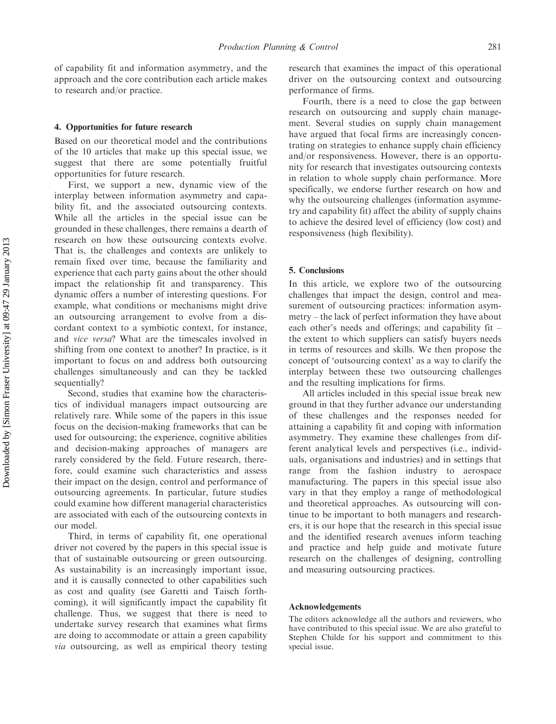of capability fit and information asymmetry, and the approach and the core contribution each article makes to research and/or practice.

#### 4. Opportunities for future research

Based on our theoretical model and the contributions of the 10 articles that make up this special issue, we suggest that there are some potentially fruitful opportunities for future research.

First, we support a new, dynamic view of the interplay between information asymmetry and capability fit, and the associated outsourcing contexts. While all the articles in the special issue can be grounded in these challenges, there remains a dearth of research on how these outsourcing contexts evolve. That is, the challenges and contexts are unlikely to remain fixed over time, because the familiarity and experience that each party gains about the other should impact the relationship fit and transparency. This dynamic offers a number of interesting questions. For example, what conditions or mechanisms might drive an outsourcing arrangement to evolve from a discordant context to a symbiotic context, for instance, and vice versa? What are the timescales involved in shifting from one context to another? In practice, is it important to focus on and address both outsourcing challenges simultaneously and can they be tackled sequentially?

Second, studies that examine how the characteristics of individual managers impact outsourcing are relatively rare. While some of the papers in this issue focus on the decision-making frameworks that can be used for outsourcing; the experience, cognitive abilities and decision-making approaches of managers are rarely considered by the field. Future research, therefore, could examine such characteristics and assess their impact on the design, control and performance of outsourcing agreements. In particular, future studies could examine how different managerial characteristics are associated with each of the outsourcing contexts in our model.

Third, in terms of capability fit, one operational driver not covered by the papers in this special issue is that of sustainable outsourcing or green outsourcing. As sustainability is an increasingly important issue, and it is causally connected to other capabilities such as cost and quality (see Garetti and Taisch forthcoming), it will significantly impact the capability fit challenge. Thus, we suggest that there is need to undertake survey research that examines what firms are doing to accommodate or attain a green capability via outsourcing, as well as empirical theory testing research that examines the impact of this operational driver on the outsourcing context and outsourcing performance of firms.

Fourth, there is a need to close the gap between research on outsourcing and supply chain management. Several studies on supply chain management have argued that focal firms are increasingly concentrating on strategies to enhance supply chain efficiency and/or responsiveness. However, there is an opportunity for research that investigates outsourcing contexts in relation to whole supply chain performance. More specifically, we endorse further research on how and why the outsourcing challenges (information asymmetry and capability fit) affect the ability of supply chains to achieve the desired level of efficiency (low cost) and responsiveness (high flexibility).

#### 5. Conclusions

In this article, we explore two of the outsourcing challenges that impact the design, control and measurement of outsourcing practices: information asymmetry – the lack of perfect information they have about each other's needs and offerings; and capability fit – the extent to which suppliers can satisfy buyers needs in terms of resources and skills. We then propose the concept of 'outsourcing context' as a way to clarify the interplay between these two outsourcing challenges and the resulting implications for firms.

All articles included in this special issue break new ground in that they further advance our understanding of these challenges and the responses needed for attaining a capability fit and coping with information asymmetry. They examine these challenges from different analytical levels and perspectives (i.e., individuals, organisations and industries) and in settings that range from the fashion industry to aerospace manufacturing. The papers in this special issue also vary in that they employ a range of methodological and theoretical approaches. As outsourcing will continue to be important to both managers and researchers, it is our hope that the research in this special issue and the identified research avenues inform teaching and practice and help guide and motivate future research on the challenges of designing, controlling and measuring outsourcing practices.

#### Acknowledgements

The editors acknowledge all the authors and reviewers, who have contributed to this special issue. We are also grateful to Stephen Childe for his support and commitment to this special issue.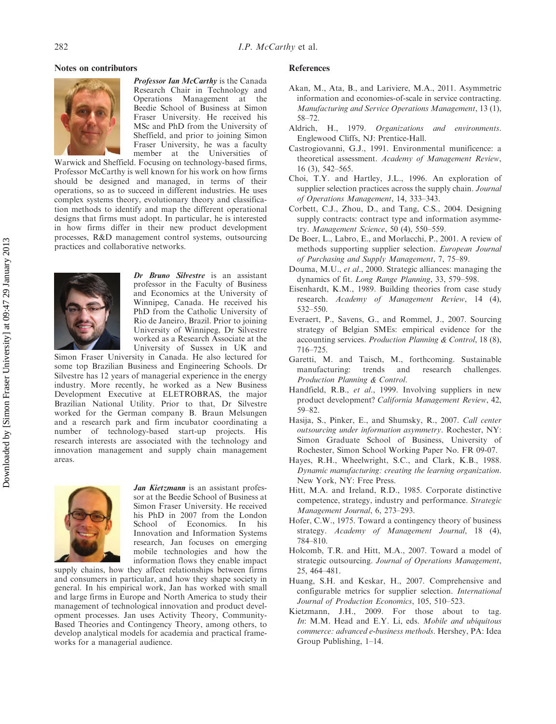#### Notes on contributors



Professor Ian McCarthy is the Canada Research Chair in Technology and Operations Management at the Beedie School of Business at Simon Fraser University. He received his MSc and PhD from the University of Sheffield, and prior to joining Simon Fraser University, he was a faculty member at the Universities of

Warwick and Sheffield. Focusing on technology-based firms, Professor McCarthy is well known for his work on how firms should be designed and managed, in terms of their operations, so as to succeed in different industries. He uses complex systems theory, evolutionary theory and classification methods to identify and map the different operational designs that firms must adopt. In particular, he is interested in how firms differ in their new product development processes, R&D management control systems, outsourcing practices and collaborative networks.



Dr Bruno Silvestre is an assistant professor in the Faculty of Business and Economics at the University of Winnipeg, Canada. He received his PhD from the Catholic University of Rio de Janeiro, Brazil. Prior to joining University of Winnipeg, Dr Silvestre worked as a Research Associate at the University of Sussex in UK and

Simon Fraser University in Canada. He also lectured for some top Brazilian Business and Engineering Schools. Dr Silvestre has 12 years of managerial experience in the energy industry. More recently, he worked as a New Business Development Executive at ELETROBRAS, the major Brazilian National Utility. Prior to that, Dr Silvestre worked for the German company B. Braun Melsungen and a research park and firm incubator coordinating a number of technology-based start-up projects. His research interests are associated with the technology and innovation management and supply chain management areas.



Jan Kietzmann is an assistant professor at the Beedie School of Business at Simon Fraser University. He received his PhD in 2007 from the London School of Economics. In his Innovation and Information Systems research, Jan focuses on emerging mobile technologies and how the information flows they enable impact

supply chains, how they affect relationships between firms and consumers in particular, and how they shape society in general. In his empirical work, Jan has worked with small and large firms in Europe and North America to study their management of technological innovation and product development processes. Jan uses Activity Theory, Community-Based Theories and Contingency Theory, among others, to develop analytical models for academia and practical frameworks for a managerial audience.

#### References

- Akan, M., Ata, B., and Lariviere, M.A., 2011. Asymmetric information and economies-of-scale in service contracting. Manufacturing and Service Operations Management, 13 (1), 58–72.
- Aldrich, H., 1979. Organizations and environments. Englewood Cliffs, NJ: Prentice-Hall.
- Castrogiovanni, G.J., 1991. Environmental munificence: a theoretical assessment. Academy of Management Review, 16 (3), 542–565.
- Choi, T.Y. and Hartley, J.L., 1996. An exploration of supplier selection practices across the supply chain. *Journal* of Operations Management, 14, 333–343.
- Corbett, C.J., Zhou, D., and Tang, C.S., 2004. Designing supply contracts: contract type and information asymmetry. Management Science, 50 (4), 550–559.
- De Boer, L., Labro, E., and Morlacchi, P., 2001. A review of methods supporting supplier selection. European Journal of Purchasing and Supply Management, 7, 75–89.
- Douma, M.U., et al., 2000. Strategic alliances: managing the dynamics of fit. Long Range Planning, 33, 579–598.
- Eisenhardt, K.M., 1989. Building theories from case study research. Academy of Management Review, 14 (4), 532–550.
- Everaert, P., Savens, G., and Rommel, J., 2007. Sourcing strategy of Belgian SMEs: empirical evidence for the accounting services. Production Planning & Control, 18 (8), 716–725.
- Garetti, M. and Taisch, M., forthcoming. Sustainable manufacturing: trends and research challenges. Production Planning & Control.
- Handfield, R.B., et al., 1999. Involving suppliers in new product development? California Management Review, 42, 59–82.
- Hasija, S., Pinker, E., and Shumsky, R., 2007. Call center outsourcing under information asymmetry. Rochester, NY: Simon Graduate School of Business, University of Rochester, Simon School Working Paper No. FR 09-07.
- Hayes, R.H., Wheelwright, S.C., and Clark, K.B., 1988. Dynamic manufacturing: creating the learning organization. New York, NY: Free Press.
- Hitt, M.A. and Ireland, R.D., 1985. Corporate distinctive competence, strategy, industry and performance. Strategic Management Journal, 6, 273–293.
- Hofer, C.W., 1975. Toward a contingency theory of business strategy. Academy of Management Journal, 18 (4), 784–810.
- Holcomb, T.R. and Hitt, M.A., 2007. Toward a model of strategic outsourcing. Journal of Operations Management, 25, 464–481.
- Huang, S.H. and Keskar, H., 2007. Comprehensive and configurable metrics for supplier selection. International Journal of Production Economics, 105, 510–523.
- Kietzmann, J.H., 2009. For those about to tag. In: M.M. Head and E.Y. Li, eds. Mobile and ubiquitous commerce: advanced e-business methods. Hershey, PA: Idea Group Publishing, 1–14.